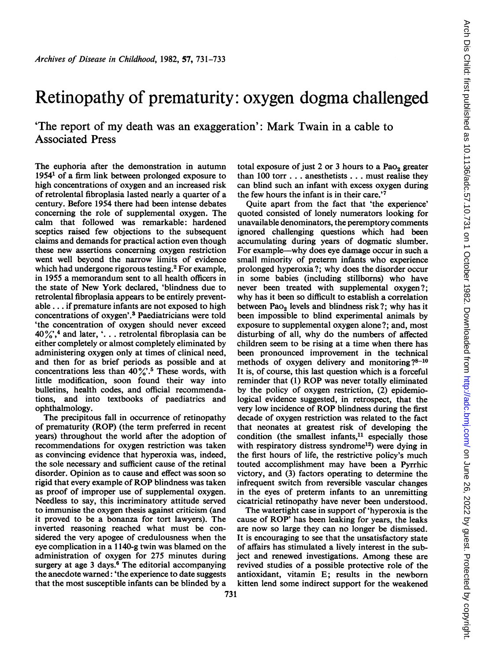## Retinopathy of prematurity: oxygen dogma challenged

'The report of my death was an exaggeration': Mark Twain in <sup>a</sup> cable to Associated Press

The euphoria after the demonstration in autumn 19541 of a firm link between prolonged exposure to high concentrations of oxygen and an increased risk of retrolental fibroplasia lasted nearly a quarter of a century. Before 1954 there had been intense debates concerning the role of supplemental oxygen. The calm that followed was remarkable: hardened sceptics raised few objections to the subsequent claims and demands for practical action even though these new assertions concerning oxygen restriction went well beyond the narrow limits of evidence which had undergone rigorous testing.<sup>2</sup> For example, in 1955 a memorandum sent to all health officers in the state of New York declared, 'blindness due to retrolental fibroplasia appears to be entirely preventable ... if premature infants are not exposed to high concentrations of oxygen'.3 Paediatricians were told 'the concentration of oxygen should never exceed  $40\frac{\cancel{0}}{\cancel{0}}$ ,<sup>4</sup> and later, '... retrolental fibroplasia can be either completely or almost completely eliminated by administering oxygen only at times of clinical need, and then for as brief periods as possible and at concentrations less than  $40\frac{\%}{\degree}$ .<sup>5</sup> These words, with little modification, soon found their way into bulletins, health codes, and official recommendations, and into textbooks of paediatrics and ophthalmology.

The precipitous fall in occurrence of retinopathy of prematurity (ROP) (the term preferred in recent years) throughout the world after the adoption of recommendations for oxygen restriction was taken as convincing evidence that hyperoxia was, indeed, the sole necessary and sufficient cause of the retinal disorder. Opinion as to cause and effect was soon so rigid that every example of ROP blindness was taken as proof of improper use of supplemental oxygen. Needless to say, this incriminatory attitude served to immunise the oxygen thesis against criticism (and it proved to be a bonanza for tort lawyers). The inverted reasoning reached what must be considered the very apogee of credulousness when the eye complication in a <sup>1</sup> 140-g twin was blamed on the administration of oxygen for 275 minutes during surgery at age 3 days.<sup>6</sup> The editorial accompanying the anecdote warned: 'the experience to date suggests that the most susceptible infants can be blinded by a

total exposure of just 2 or 3 hours to a  $PaO<sub>2</sub>$  greater than 100 torr . .. anesthetists . .. must realise they can blind such an infant with excess oxygen during the few hours the infant is in their care.'

Quite apart from the fact that 'the experience' quoted consisted of lonely numerators looking for unavailable denominators, the peremptory comments ignored challenging questions which had been accumulating during years of dogmatic slumber. For example—why does eye damage occur in such a small minority of preterm infants who experience prolonged hyperoxia?; why does the disorder occur in some babies (including stillboms) who have never been treated with supplemental oxygen?; why has it been so difficult to establish a correlation between  $PaO<sub>2</sub>$  levels and blindness risk?; why has it been impossible to blind experimental animals by exposure to supplemental oxygen alone?; and, most disturbing of all, why do the numbers of affected children seem to be rising at a time when there has been pronounced improvement in the technical methods of oxygen delivery and monitoring ?8-10 It is, of course, this last question which is a forceful reminder that (1) ROP was never totally eliminated by the policy of oxygen restriction, (2) epidemiological evidence suggested, in retrospect, that the very low incidence of ROP blindness during the first decade of oxygen restriction was related to the fact that neonates at greatest risk of developing the condition (the smallest infants, $11$  especially those with respiratory distress syndrome<sup>12</sup>) were dying in the first hours of life, the restrictive policy's much touted accomplishment may have been a Pyrrhic victory, and (3) factors operating to determine the infrequent switch from reversible vascular changes in the eyes of preterm infants to an unremitting cicatricial retinopathy have never been understood.

The watertight case in support of 'hyperoxia is the cause of ROP' has been leaking for years, the leaks are now so large they can no longer be dismissed. It is encouraging to see that the unsatisfactory state of affairs has stimulated a lively interest in the subject and renewed investigations. Among these are revived studies of a possible protective role of the antioxidant, vitamin E; results in the newborn kitten lend some indirect support for the weakened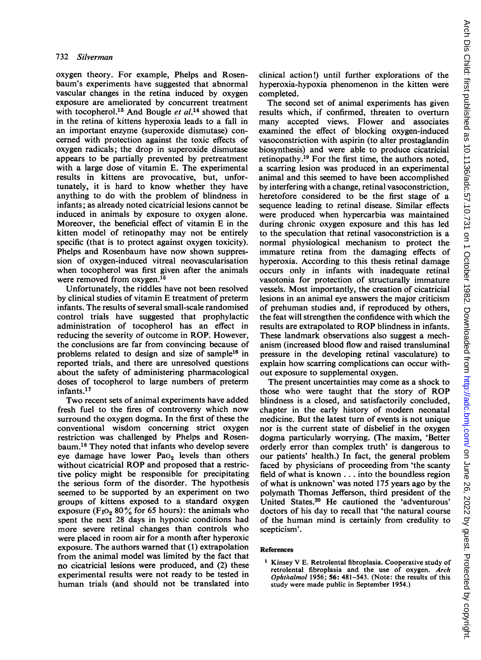oxygen theory. For example, Phelps and Rosenbaum's experiments have suggested that abnormal vascular changes in the retina induced by oxygen exposure are ameliorated by concurrent treatment with tocopherol.<sup>13</sup> And Bougle et  $al$ .<sup>14</sup> showed that in the retina of kittens hyperoxia leads to a fall in an important enzyme (superoxide dismutase) concerned with protection against the toxic effects of oxygen radicals; the drop in superoxide dismutase appears to be partially prevented by pretreatment with a large dose of vitamin E. The experimental results in kittens are provocative, but, unfortunately, it is hard to know whether they have anything to do with the problem of blindness in infants; as already noted cicatricial lesions cannot be induced in animals by exposure to oxygen alone. Moreover, the beneficial effect of vitamin E in the kitten model of retinopathy may not be entirely specific (that is to protect against oxygen toxicity). Phelps and Rosenbaum have now shown suppression of oxygen-induced vitreal neovascularisation when tocopherol was first given after the animals were removed from oxygen.<sup>15</sup>

Unfortunately, the riddles have not been resolved by clinical studies of vitamin E treatment of preterm infants. The results of several small-scale randomised control trials have suggested that prophylactic administration of tocopherol has an effect in reducing the severity of outcome in ROP. However, the conclusions are far from convincing because of problems related to design and size of sample<sup>16</sup> in reported trials, and there are unresolved questions about the safety of administering pharmacological doses of tocopherol to large numbers of preterm infants.<sup>17</sup>

Two recent sets of animal experiments have added fresh fuel to the fires of controversy which now surround the oxygen dogma. In the first of these the conventional wisdom concerning strict oxygen restriction was challenged by Phelps and Rosenbaum.18 They noted that infants who develop severe eye damage have lower Pao<sub>2</sub> levels than others without cicatricial ROP and proposed that <sup>a</sup> restrictive policy might be responsible for precipitating the serious form of the disorder. The hypothesis seemed to be supported by an experiment on two groups of kittens exposed to a standard oxygen exposure (F<sub>IO<sub>2</sub></sub> 80 $\frac{9}{6}$  for 65 hours): the animals who spent the next 28 days in hypoxic conditions had more severe retinal changes than controls who were placed in room air for a month after hyperoxic exposure. The authors warned that (1) extrapolation from the animal model was limited by the fact that no cicatricial lesions were produced, and (2) these experimental results were not ready to be tested in human trials (and should not be translated into

clinical action!) until further explorations of the hyperoxia-hypoxia phenomenon in the kitten were completed.

The second set of animal experiments has given results which, if confirmed, threaten to overturn many accepted views. Flower and associates examined the effect of blocking oxygen-induced vasoconstriction with aspirin (to alter prostaglandin biosynthesis) and were able to produce cicatricial retinopathy.19 For the first time, the authors noted, a scarring lesion was produced in an experimental animal and this seemed to have been accomplished by interfering with a change, retinal vasoconstriction, heretofore considered to be the first stage of a sequence leading to retinal disease. Similar effects were produced when hypercarbia was maintained during chronic oxygen exposure and this has led to the speculation that retinal vasoconstriction is a normal physiological mechanism to protect the immature retina from the damaging effects of hyperoxia. According to this thesis retinal damage occurs only in infants with inadequate retinal vasotonia for protection of structurally immature vessels. Most importantly, the creation of cicatricial lesions in an animal eye answers the major criticism of prehuman studies and, if reproduced by others, the feat will strengthen the confidence with which the results are extrapolated to ROP blindness in infants. These landmark observations also suggest a mechanism (increased blood flow and raised transluminal pressure in the developing retinal vasculature) to explain how scarring complications can occur without exposure to supplemental oxygen.

The present uncertainties may come as a shock to those who were taught that the story of ROP blindness is a closed, and satisfactorily concluded, chapter in the early history of modern neonatal medicine. But the latest turn of events is not unique nor is the current state of disbelief in the oxygen dogma particularly worrying. (The maxim, 'Better orderly error than complex truth' is dangerous to our patients' health.) In fact, the general problem faced by physicians of proceeding from 'the scanty field of what is known ... into the boundless region of what is unknown' was noted 175 years ago by the polymath Thomas Jefferson, third president of the United States.20 He cautioned the 'adventurous' doctors of his day to recall that 'the natural course of the human mind is certainly from credulity to scepticism'.

## References

<sup>1</sup> Kinsey V E. Retrolental fibroplasia. Cooperative study of retrolental fibroplasia and the use of oxygen. Arch Ophthalmol 1956; 56: 481-543. (Note: the results of this study were made public in September 1954.)